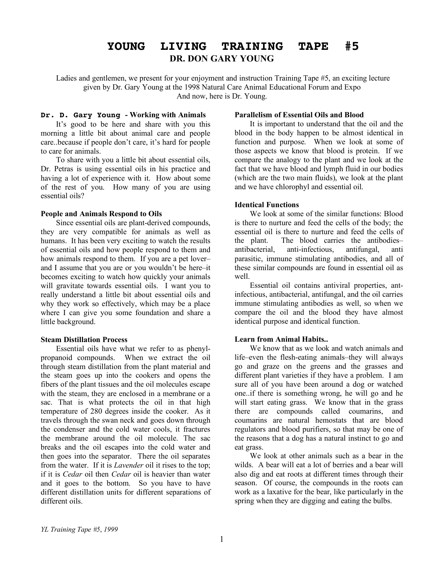# **YOUNG LIVING TRAINING TAPE #5 DR. DON GARY YOUNG**

Ladies and gentlemen, we present for your enjoyment and instruction Training Tape #5, an exciting lecture given by Dr. Gary Young at the 1998 Natural Care Animal Educational Forum and Expo And now, here is Dr. Young.

### **Dr. D. Gary Young - Working with Animals**

It's good to be here and share with you this morning a little bit about animal care and people care..because if people don't care, it's hard for people to care for animals.

To share with you a little bit about essential oils, Dr. Petras is using essential oils in his practice and having a lot of experience with it. How about some of the rest of you. How many of you are using essential oils?

### **People and Animals Respond to Oils**

Since essential oils are plant-derived compounds, they are very compatible for animals as well as humans. It has been very exciting to watch the results of essential oils and how people respond to them and how animals respond to them. If you are a pet lover– and I assume that you are or you wouldn't be here–it becomes exciting to watch how quickly your animals will gravitate towards essential oils. I want you to really understand a little bit about essential oils and why they work so effectively, which may be a place where I can give you some foundation and share a little background.

## **Steam Distillation Process**

Essential oils have what we refer to as phenylpropanoid compounds. When we extract the oil through steam distillation from the plant material and the steam goes up into the cookers and opens the fibers of the plant tissues and the oil molecules escape with the steam, they are enclosed in a membrane or a sac. That is what protects the oil in that high temperature of 280 degrees inside the cooker. As it travels through the swan neck and goes down through the condenser and the cold water cools, it fractures the membrane around the oil molecule. The sac breaks and the oil escapes into the cold water and then goes into the separator. There the oil separates from the water. If it is *Lavender* oil it rises to the top; if it is *Cedar* oil then *Cedar* oil is heavier than water and it goes to the bottom. So you have to have different distillation units for different separations of different oils.

## **Parallelism of Essential Oils and Blood**

It is important to understand that the oil and the blood in the body happen to be almost identical in function and purpose. When we look at some of those aspects we know that blood is protein. If we compare the analogy to the plant and we look at the fact that we have blood and lymph fluid in our bodies (which are the two main fluids), we look at the plant and we have chlorophyl and essential oil.

## **Identical Functions**

We look at some of the similar functions: Blood is there to nurture and feed the cells of the body; the essential oil is there to nurture and feed the cells of the plant. The blood carries the antibodies– antibacterial, anti-infectious, antifungal, anti parasitic, immune stimulating antibodies, and all of these similar compounds are found in essential oil as well.

Essential oil contains antiviral properties, antinfectious, antibacterial, antifungal, and the oil carries immune stimulating antibodies as well, so when we compare the oil and the blood they have almost identical purpose and identical function.

## **Learn from Animal Habits..**

We know that as we look and watch animals and life–even the flesh-eating animals–they will always go and graze on the greens and the grasses and different plant varieties if they have a problem. I am sure all of you have been around a dog or watched one..if there is something wrong, he will go and he will start eating grass. We know that in the grass there are compounds called coumarins, and coumarins are natural hemostats that are blood regulators and blood purifiers, so that may be one of the reasons that a dog has a natural instinct to go and eat grass.

We look at other animals such as a bear in the wilds. A bear will eat a lot of berries and a bear will also dig and eat roots at different times through their season. Of course, the compounds in the roots can work as a laxative for the bear, like particularly in the spring when they are digging and eating the bulbs.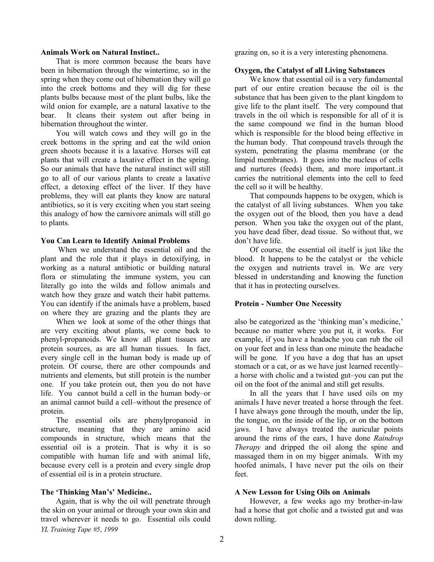#### **Animals Work on Natural Instinct..**

That is more common because the bears have been in hibernation through the wintertime, so in the spring when they come out of hibernation they will go into the creek bottoms and they will dig for these plants bulbs because most of the plant bulbs, like the wild onion for example, are a natural laxative to the bear. It cleans their system out after being in hibernation throughout the winter.

You will watch cows and they will go in the creek bottoms in the spring and eat the wild onion green shoots because it is a laxative. Horses will eat plants that will create a laxative effect in the spring. So our animals that have the natural instinct will still go to all of our various plants to create a laxative effect, a detoxing effect of the liver. If they have problems, they will eat plants they know are natural antibiotics, so it is very exciting when you start seeing this analogy of how the carnivore animals will still go to plants.

#### **You Can Learn to Identify Animal Problems**

When we understand the essential oil and the plant and the role that it plays in detoxifying, in working as a natural antibiotic or building natural flora or stimulating the immune system, you can literally go into the wilds and follow animals and watch how they graze and watch their habit patterns. You can identify if the animals have a problem, based on where they are grazing and the plants they are

When we look at some of the other things that are very exciting about plants, we come back to phenyl-propanoids. We know all plant tissues are protein sources, as are all human tissues. In fact, every single cell in the human body is made up of protein. Of course, there are other compounds and nutrients and elements, but still protein is the number one. If you take protein out, then you do not have life. You cannot build a cell in the human body–or an animal cannot build a cell–without the presence of protein.

The essential oils are phenylpropanoid in structure, meaning that they are amino acid compounds in structure, which means that the essential oil is a protein. That is why it is so compatible with human life and with animal life, because every cell is a protein and every single drop of essential oil is in a protein structure.

#### **The 'Thinking Man's' Medicine..**

*YL Training Tape #5*, *1999* Again, that is why the oil will penetrate through the skin on your animal or through your own skin and travel wherever it needs to go. Essential oils could grazing on, so it is a very interesting phenomena.

### **Oxygen, the Catalyst of all Living Substances**

We know that essential oil is a very fundamental part of our entire creation because the oil is the substance that has been given to the plant kingdom to give life to the plant itself. The very compound that travels in the oil which is responsible for all of it is the same compound we find in the human blood which is responsible for the blood being effective in the human body. That compound travels through the system, penetrating the plasma membrane (or the limpid membranes). It goes into the nucleus of cells and nurtures (feeds) them, and more important..it carries the nutritional elements into the cell to feed the cell so it will be healthy.

That compounds happens to be oxygen, which is the catalyst of all living substances. When you take the oxygen out of the blood, then you have a dead person. When you take the oxygen out of the plant, you have dead fiber, dead tissue. So without that, we don't have life.

Of course, the essential oil itself is just like the blood. It happens to be the catalyst or the vehicle the oxygen and nutrients travel in. We are very blessed in understanding and knowing the function that it has in protecting ourselves.

#### **Protein - Number One Necessity**

also be categorized as the 'thinking man's medicine,' because no matter where you put it, it works. For example, if you have a headache you can rub the oil on your feet and in less than one minute the headache will be gone. If you have a dog that has an upset stomach or a cat, or as we have just learned recently– a horse with cholic and a twisted gut–you can put the oil on the foot of the animal and still get results.

In all the years that I have used oils on my animals I have never treated a horse through the feet. I have always gone through the mouth, under the lip, the tongue, on the inside of the lip, or on the bottom jaws. I have always treated the auricular points around the rims of the ears, I have done *Raindrop Therapy* and dripped the oil along the spine and massaged them in on my bigger animals. With my hoofed animals, I have never put the oils on their feet.

#### **A New Lesson for Using Oils on Animals**

However, a few weeks ago my brother-in-law had a horse that got cholic and a twisted gut and was down rolling.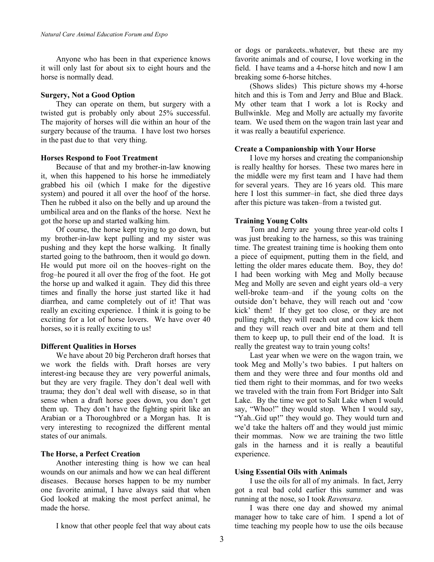Anyone who has been in that experience knows it will only last for about six to eight hours and the horse is normally dead.

## **Surgery, Not a Good Option**

They can operate on them, but surgery with a twisted gut is probably only about 25% successful. The majority of horses will die within an hour of the surgery because of the trauma. I have lost two horses in the past due to that very thing.

## **Horses Respond to Foot Treatment**

Because of that and my brother-in-law knowing it, when this happened to his horse he immediately grabbed his oil (which I make for the digestive system) and poured it all over the hoof of the horse. Then he rubbed it also on the belly and up around the umbilical area and on the flanks of the horse. Next he got the horse up and started walking him.

Of course, the horse kept trying to go down, but my brother-in-law kept pulling and my sister was pushing and they kept the horse walking. It finally started going to the bathroom, then it would go down. He would put more oil on the hooves–right on the frog–he poured it all over the frog of the foot. He got the horse up and walked it again. They did this three times and finally the horse just started like it had diarrhea, and came completely out of it! That was really an exciting experience. I think it is going to be exciting for a lot of horse lovers. We have over 40 horses, so it is really exciting to us!

## **Different Qualities in Horses**

We have about 20 big Percheron draft horses that we work the fields with. Draft horses are very interest-ing because they are very powerful animals, but they are very fragile. They don't deal well with trauma; they don't deal well with disease, so in that sense when a draft horse goes down, you don't get them up. They don't have the fighting spirit like an Arabian or a Thoroughbred or a Morgan has. It is very interesting to recognized the different mental states of our animals.

## **The Horse, a Perfect Creation**

Another interesting thing is how we can heal wounds on our animals and how we can heal different diseases. Because horses happen to be my number one favorite animal, I have always said that when God looked at making the most perfect animal, he made the horse.

I know that other people feel that way about cats

or dogs or parakeets..whatever, but these are my favorite animals and of course, I love working in the field. I have teams and a 4-horse hitch and now I am breaking some 6-horse hitches.

(Shows slides) This picture shows my 4-horse hitch and this is Tom and Jerry and Blue and Black. My other team that I work a lot is Rocky and Bullwinkle. Meg and Molly are actually my favorite team. We used them on the wagon train last year and it was really a beautiful experience.

## **Create a Companionship with Your Horse**

I love my horses and creating the companionship is really healthy for horses. These two mares here in the middle were my first team and I have had them for several years. They are 16 years old. This mare here I lost this summer–in fact, she died three days after this picture was taken–from a twisted gut.

## **Training Young Colts**

Tom and Jerry are young three year-old colts I was just breaking to the harness, so this was training time. The greatest training time is hooking them onto a piece of equipment, putting them in the field, and letting the older mares educate them. Boy, they do! I had been working with Meg and Molly because Meg and Molly are seven and eight years old–a very well-broke team–and if the young colts on the outside don't behave, they will reach out and 'cow kick' them! If they get too close, or they are not pulling right, they will reach out and cow kick them and they will reach over and bite at them and tell them to keep up, to pull their end of the load. It is really the greatest way to train young colts!

Last year when we were on the wagon train, we took Meg and Molly's two babies. I put halters on them and they were three and four months old and tied them right to their mommas, and for two weeks we traveled with the train from Fort Bridger into Salt Lake. By the time we got to Salt Lake when I would say, "Whoo!" they would stop. When I would say, "Yah..Gid up!" they would go. They would turn and we'd take the halters off and they would just mimic their mommas. Now we are training the two little gals in the harness and it is really a beautiful experience.

## **Using Essential Oils with Animals**

I use the oils for all of my animals. In fact, Jerry got a real bad cold earlier this summer and was running at the nose, so I took *Ravensara*.

I was there one day and showed my animal manager how to take care of him. I spend a lot of time teaching my people how to use the oils because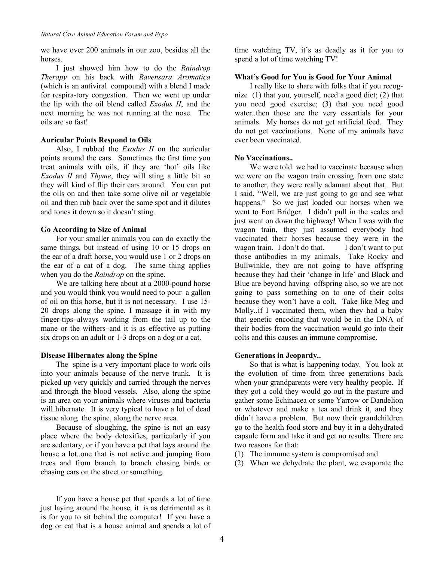we have over 200 animals in our zoo, besides all the horses.

I just showed him how to do the *Raindrop Therapy* on his back with *Ravensara Aromatica* (which is an antiviral compound) with a blend I made for respira-tory congestion. Then we went up under the lip with the oil blend called *Exodus II*, and the next morning he was not running at the nose. The oils are so fast!

### **Auricular Points Respond to Oils**

Also, I rubbed the *Exodus II* on the auricular points around the ears. Sometimes the first time you treat animals with oils, if they are 'hot' oils like *Exodus II* and *Thyme*, they will sting a little bit so they will kind of flip their ears around. You can put the oils on and then take some olive oil or vegetable oil and then rub back over the same spot and it dilutes and tones it down so it doesn't sting.

### **Go According to Size of Animal**

For your smaller animals you can do exactly the same things, but instead of using 10 or 15 drops on the ear of a draft horse, you would use 1 or 2 drops on the ear of a cat of a dog. The same thing applies when you do the *Raindrop* on the spine.

We are talking here about at a 2000-pound horse and you would think you would need to pour a gallon of oil on this horse, but it is not necessary. I use 15- 20 drops along the spine. I massage it in with my finger-tips–always working from the tail up to the mane or the withers–and it is as effective as putting six drops on an adult or 1-3 drops on a dog or a cat.

## **Disease Hibernates along the Spine**

The spine is a very important place to work oils into your animals because of the nerve trunk. It is picked up very quickly and carried through the nerves and through the blood vessels. Also, along the spine is an area on your animals where viruses and bacteria will hibernate. It is very typical to have a lot of dead tissue along the spine, along the nerve area.

Because of sloughing, the spine is not an easy place where the body detoxifies, particularly if you are sedentary, or if you have a pet that lays around the house a lot..one that is not active and jumping from trees and from branch to branch chasing birds or chasing cars on the street or something.

If you have a house pet that spends a lot of time just laying around the house, it is as detrimental as it is for you to sit behind the computer! If you have a dog or cat that is a house animal and spends a lot of

time watching TV, it's as deadly as it for you to spend a lot of time watching TV!

### **What's Good for You is Good for Your Animal**

I really like to share with folks that if you recognize (1) that you, yourself, need a good diet; (2) that you need good exercise; (3) that you need good water..then those are the very essentials for your animals. My horses do not get artificial feed. They do not get vaccinations. None of my animals have ever been vaccinated.

## **No Vaccinations..**

We were told we had to vaccinate because when we were on the wagon train crossing from one state to another, they were really adamant about that. But I said, "Well, we are just going to go and see what happens." So we just loaded our horses when we went to Fort Bridger. I didn't pull in the scales and just went on down the highway! When I was with the wagon train, they just assumed everybody had vaccinated their horses because they were in the wagon train. I don't do that. I don't want to put those antibodies in my animals. Take Rocky and Bullwinkle, they are not going to have offspring because they had their 'change in life' and Black and Blue are beyond having offspring also, so we are not going to pass something on to one of their colts because they won't have a colt. Take like Meg and Molly..if I vaccinated them, when they had a baby that genetic encoding that would be in the DNA of their bodies from the vaccination would go into their colts and this causes an immune compromise.

## **Generations in Jeopardy..**

So that is what is happening today. You look at the evolution of time from three generations back when your grandparents were very healthy people. If they got a cold they would go out in the pasture and gather some Echinacea or some Yarrow or Dandelion or whatever and make a tea and drink it, and they didn't have a problem. But now their grandchildren go to the health food store and buy it in a dehydrated capsule form and take it and get no results. There are two reasons for that:

- (1) The immune system is compromised and
- (2) When we dehydrate the plant, we evaporate the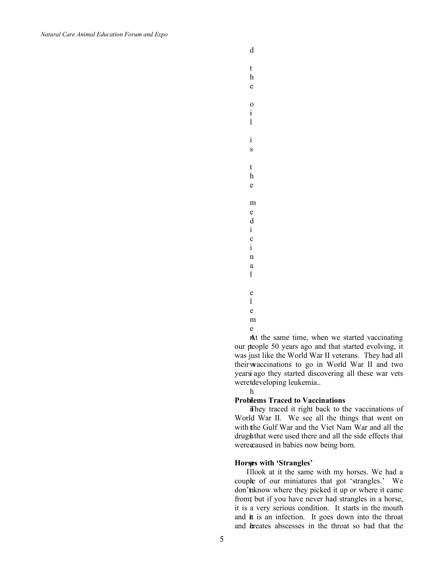d

t h e

o i l

i s

t h e

m e d i c i n a l

l e

e

m

e

At the same time, when we started vaccinating our people 50 years ago and that started evolving, it w their vaccinations to go in World War II and two years ago they started discovering all these war vets weretdeveloping leukemia... was just like the World War II veterans. They had all

h

#### **Problems Traced to Vaccinations**

n They traced it right back to the vaccinations of with the Gulf War and the Viet Nam War and all the drugshthat were used there and all the side effects that were caused in babies now being born. World War II. We see all the things that went on

#### p **Horses with 'Strangles'**

Illook at it the same with my horses. We had a couple of our miniatures that got 'strangles.' We don't hknow where they picked it up or where it came from, but if you have never had strangles in a horse, and it is an infection. It goes down into the throat and breates abscesses in the throat so bad that the it is a very serious condition. It starts in the mouth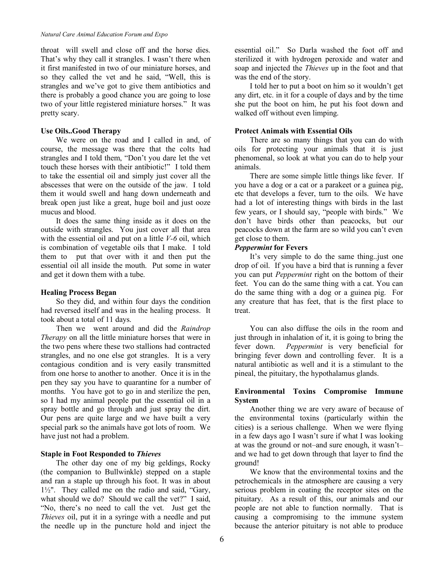throat will swell and close off and the horse dies. That's why they call it strangles. I wasn't there when it first manifested in two of our miniature horses, and so they called the vet and he said, "Well, this is strangles and we've got to give them antibiotics and there is probably a good chance you are going to lose two of your little registered miniature horses." It was pretty scary.

## **Use Oils..Good Therapy**

We were on the road and I called in and, of course, the message was there that the colts had strangles and I told them, "Don't you dare let the vet touch these horses with their antibiotic!" I told them to take the essential oil and simply just cover all the abscesses that were on the outside of the jaw. I told them it would swell and hang down underneath and break open just like a great, huge boil and just ooze mucus and blood.

It does the same thing inside as it does on the outside with strangles. You just cover all that area with the essential oil and put on a little *V-6* oil, which is combination of vegetable oils that I make. I told them to put that over with it and then put the essential oil all inside the mouth. Put some in water and get it down them with a tube.

## **Healing Process Began**

So they did, and within four days the condition had reversed itself and was in the healing process. It took about a total of 11 days.

Then we went around and did the *Raindrop Therapy* on all the little miniature horses that were in the two pens where these two stallions had contracted strangles, and no one else got strangles. It is a very contagious condition and is very easily transmitted from one horse to another to another. Once it is in the pen they say you have to quarantine for a number of months. You have got to go in and sterilize the pen, so I had my animal people put the essential oil in a spray bottle and go through and just spray the dirt. Our pens are quite large and we have built a very special park so the animals have got lots of room. We have just not had a problem.

## **Staple in Foot Responded to** *Thieves*

The other day one of my big geldings, Rocky (the companion to Bullwinkle) stepped on a staple and ran a staple up through his foot. It was in about 1½". They called me on the radio and said, "Gary, what should we do? Should we call the vet?" I said, "No, there's no need to call the vet. Just get the *Thieves* oil, put it in a syringe with a needle and put the needle up in the puncture hold and inject the

essential oil." So Darla washed the foot off and sterilized it with hydrogen peroxide and water and soap and injected the *Thieves* up in the foot and that was the end of the story.

I told her to put a boot on him so it wouldn't get any dirt, etc. in it for a couple of days and by the time she put the boot on him, he put his foot down and walked off without even limping.

## **Protect Animals with Essential Oils**

There are so many things that you can do with oils for protecting your animals that it is just phenomenal, so look at what you can do to help your animals.

There are some simple little things like fever. If you have a dog or a cat or a parakeet or a guinea pig, etc that develops a fever, turn to the oils. We have had a lot of interesting things with birds in the last few years, or I should say, "people with birds." We don't have birds other than peacocks, but our peacocks down at the farm are so wild you can't even get close to them.

## *Peppermint* **for Fevers**

It's very simple to do the same thing..just one drop of oil. If you have a bird that is running a fever you can put *Peppermint* right on the bottom of their feet. You can do the same thing with a cat. You can do the same thing with a dog or a guinea pig. For any creature that has feet, that is the first place to treat.

You can also diffuse the oils in the room and just through in inhalation of it, it is going to bring the fever down. *Peppermint* is very beneficial for bringing fever down and controlling fever. It is a natural antibiotic as well and it is a stimulant to the pineal, the pituitary, the hypothalamus glands.

## **Environmental Toxins Compromise Immune System**

Another thing we are very aware of because of the environmental toxins (particularly within the cities) is a serious challenge. When we were flying in a few days ago I wasn't sure if what I was looking at was the ground or not–and sure enough, it wasn't– and we had to get down through that layer to find the ground!

We know that the environmental toxins and the petrochemicals in the atmosphere are causing a very serious problem in coating the receptor sites on the pituitary. As a result of this, our animals and our people are not able to function normally. That is causing a compromising to the immune system because the anterior pituitary is not able to produce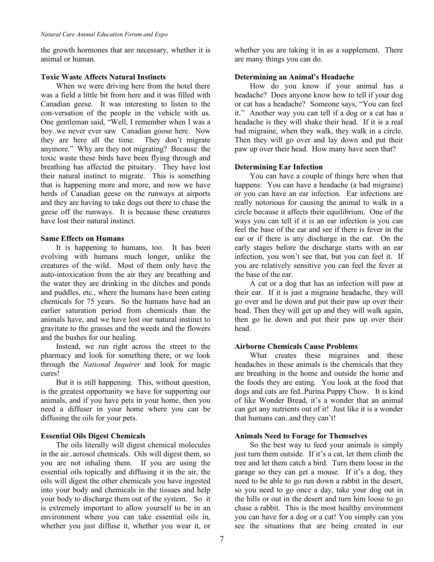the growth hormones that are necessary, whether it is animal or human.

### **Toxic Waste Affects Natural Instincts**

When we were driving here from the hotel there was a field a little bit from here and it was filled with Canadian geese. It was interesting to listen to the con-versation of the people in the vehicle with us. One gentleman said, "Well, I remember when I was a boy..we never ever saw Canadian goose here. Now they are here all the time. They don't migrate anymore." Why are they not migrating? Because the toxic waste these birds have been flying through and breathing has affected the pituitary. They have lost their natural instinct to migrate. This is something that is happening more and more, and now we have herds of Canadian geese on the runways at airports and they are having to take dogs out there to chase the geese off the runways. It is because these creatures have lost their natural instinct.

### **Same Effects on Humans**

It is happening to humans, too. It has been evolving with humans much longer, unlike the creatures of the wild. Most of them only have the auto-intoxication from the air they are breathing and the water they are drinking in the ditches and ponds and puddles, etc., where the humans have been eating chemicals for 75 years. So the humans have had an earlier saturation period from chemicals than the animals have, and we have lost our natural instinct to gravitate to the grasses and the weeds and the flowers and the bushes for our healing.

Instead, we run right across the street to the pharmacy and look for something there, or we look through the *National Inquirer* and look for magic cures!

But it is still happening. This, without question, is the greatest opportunity we have for supporting our animals, and if you have pets in your home, then you need a diffuser in your home where you can be diffusing the oils for your pets.

### **Essential Oils Digest Chemicals**

The oils literally will digest chemical molecules in the air..aerosol chemicals. Oils will digest them, so you are not inhaling them. If you are using the essential oils topically and diffusing it in the air, the oils will digest the other chemicals you have ingested into your body and chemicals in the tissues and help your body to discharge them out of the system. So it is extremely important to allow yourself to be in an environment where you can take essential oils in, whether you just diffuse it, whether you wear it, or

whether you are taking it in as a supplement. There are many things you can do.

### **Determining an Animal's Headache**

How do you know if your animal has a headache? Does anyone know how to tell if your dog or cat has a headache? Someone says, "You can feel it." Another way you can tell if a dog or a cat has a headache is they will shake their head. If it is a real bad migraine, when they walk, they walk in a circle. Then they will go over and lay down and put their paw up over their head. How many have seen that?

### **Determining Ear Infection**

You can have a couple of things here when that happens: You can have a headache (a bad migraine) or you can have an ear infection. Ear infections are really notorious for causing the animal to walk in a circle because it affects their equilibrium. One of the ways you can tell if it is an ear infection is you can feel the base of the ear and see if there is fever in the ear or if there is any discharge in the ear. On the early stages before the discharge starts with an ear infection, you won't see that, but you can feel it. If you are relatively sensitive you can feel the fever at the base of the ear.

A cat or a dog that has an infection will paw at their ear. If it is just a migraine headache, they will go over and lie down and put their paw up over their head. Then they will get up and they will walk again, then go lie down and put their paw up over their head.

### **Airborne Chemicals Cause Problems**

What creates these migraines and these headaches in these animals is the chemicals that they are breathing in the home and outside the home and the foods they are eating. You look at the food that dogs and cats are fed..Purina Puppy Chow. It is kind of like Wonder Bread, it's a wonder that an animal can get any nutrients out of it! Just like it is a wonder that humans can..and they can't!

### **Animals Need to Forage for Themselves**

So the best way to feed your animals is simply just turn them outside. If it's a cat, let them climb the tree and let them catch a bird. Turn them loose in the garage so they can get a mouse. If it's a dog, they need to be able to go run down a rabbit in the desert, so you need to go once a day, take your dog out in the hills or out in the desert and turn him loose to go chase a rabbit. This is the most healthy environment you can have for a dog or a cat! You simply can you see the situations that are being created in our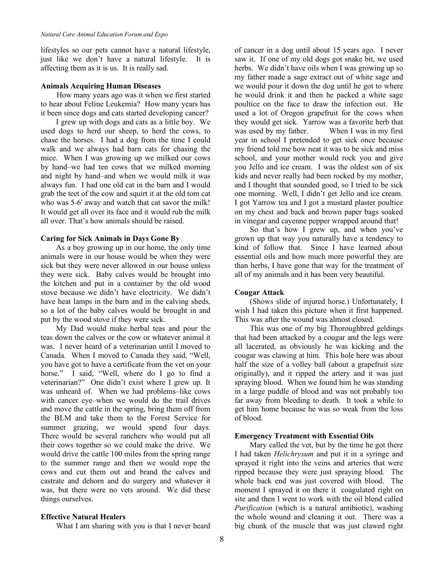lifestyles so our pets cannot have a natural lifestyle, just like we don't have a natural lifestyle. It is affecting them as it is us. It is really sad.

### **Animals Acquiring Human Diseases**

 How many years ago was it when we first started to hear about Feline Leukemia? How many years has it been since dogs and cats started developing cancer?

I grew up with dogs and cats as a little boy. We used dogs to herd our sheep, to herd the cows, to chase the horses. I had a dog from the time I could walk and we always had barn cats for chasing the mice. When I was growing up we milked our cows by hand–we had ten cows that we milked morning and night by hand–and when we would milk it was always fun. I had one old cat in the barn and I would grab the teet of the cow and squirt it at the old tom cat who was 5-6' away and watch that cat savor the milk! It would get all over its face and it would rub the milk all over. That's how animals should be raised.

## **Caring for Sick Animals in Days Gone By**

As a boy growing up in our home, the only time animals were in our house would be when they were sick but they were never allowed in our house unless they were sick. Baby calves would be brought into the kitchen and put in a container by the old wood stove because we didn't have electricity. We didn't have heat lamps in the barn and in the calving sheds, so a lot of the baby calves would be brought in and put by the wood stove if they were sick.

My Dad would make herbal teas and pour the teas down the calves or the cow or whatever animal it was. I never heard of a veterinarian until I moved to Canada. When I moved to Canada they said, "Well, you have got to have a certificate from the vet on your horse." I said, "Well, where do I go to find a veterinarian?" One didn't exist where I grew up. It was unheard of. When we had problems–like cows with cancer eye–when we would do the trail drives and move the cattle in the spring, bring them off from the BLM and take them to the Forest Service for summer grazing, we would spend four days. There would be several ranchers who would put all their cows together so we could make the drive. We would drive the cattle 100 miles from the spring range to the summer range and then we would rope the cows and cut them out and brand the calves and castrate and dehorn and do surgery and whatever it was, but there were no vets around. We did these things ourselves.

## **Effective Natural Healers**

What I am sharing with you is that I never heard

of cancer in a dog until about 15 years ago. I never saw it. If one of my old dogs got snake bit, we used herbs. We didn't have oils when I was growing up so my father made a sage extract out of white sage and we would pour it down the dog until he got to where he would drink it and then he packed a white sage poultice on the face to draw the infection out. He used a lot of Oregon grapefruit for the cows when they would get sick. Yarrow was a favorite herb that was used by my father. When I was in my first year in school I pretended to get sick once because my friend told me how neat it was to be sick and miss school, and your mother would rock you and give you Jello and ice cream. I was the oldest son of six kids and never really had been rocked by my mother, and I thought that sounded good, so I tried to be sick one morning. Well, I didn't get Jello and ice cream. I got Yarrow tea and I got a mustard plaster poultice on my chest and back and brown paper bags soaked in vinegar and cayenne pepper wrapped around that!

So that's how I grew up, and when you've grown up that way you naturally have a tendency to kind of follow that. Since I have learned about essential oils and how much more powerful they are than herbs, I have gone that way for the treatment of all of my animals and it has been very beautiful.

### **Cougar Attack**

(Shows slide of injured horse.) Unfortunately, I wish I had taken this picture when it first happened. This was after the wound was almost closed.

This was one of my big Thoroughbred geldings that had been attacked by a cougar and the legs were all lacerated, as obviously he was kicking and the cougar was clawing at him. This hole here was about half the size of a volley ball (about a grapefruit size originally), and it ripped the artery and it was just spraying blood. When we found him he was standing in a large puddle of blood and was not probably too far away from bleeding to death. It took a while to get him home because he was so weak from the loss of blood.

### **Emergency Treatment with Essential Oils**

Mary called the vet, but by the time he got there I had taken *Helichrysum* and put it in a syringe and sprayed it right into the veins and arteries that were ripped because they were just spraying blood. The whole back end was just covered with blood. The moment I sprayed it on there it coagulated right on site and then I went to work with the oil blend called *Purification* (which is a natural antibiotic), washing the whole wound and cleaning it out. There was a big chunk of the muscle that was just clawed right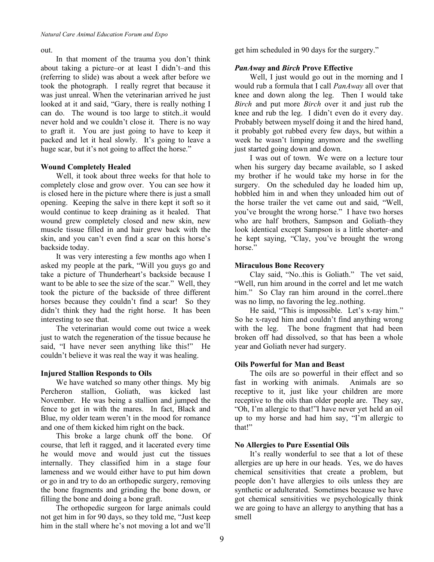### out.

In that moment of the trauma you don't think about taking a picture–or at least I didn't–and this (referring to slide) was about a week after before we took the photograph. I really regret that because it was just unreal. When the veterinarian arrived he just looked at it and said, "Gary, there is really nothing I can do. The wound is too large to stitch..it would never hold and we couldn't close it. There is no way to graft it. You are just going to have to keep it packed and let it heal slowly. It's going to leave a huge scar, but it's not going to affect the horse."

## **Wound Completely Healed**

Well, it took about three weeks for that hole to completely close and grow over. You can see how it is closed here in the picture where there is just a small opening. Keeping the salve in there kept it soft so it would continue to keep draining as it healed. That wound grew completely closed and new skin, new muscle tissue filled in and hair grew back with the skin, and you can't even find a scar on this horse's backside today.

It was very interesting a few months ago when I asked my people at the park, "Will you guys go and take a picture of Thunderheart's backside because I want to be able to see the size of the scar." Well, they took the picture of the backside of three different horses because they couldn't find a scar! So they didn't think they had the right horse. It has been interesting to see that.

The veterinarian would come out twice a week just to watch the regeneration of the tissue because he said, "I have never seen anything like this!" He couldn't believe it was real the way it was healing.

## **Injured Stallion Responds to Oils**

We have watched so many other things. My big Percheron stallion, Goliath, was kicked last November. He was being a stallion and jumped the fence to get in with the mares. In fact, Black and Blue, my older team weren't in the mood for romance and one of them kicked him right on the back.

This broke a large chunk off the bone. Of course, that left it ragged, and it lacerated every time he would move and would just cut the tissues internally. They classified him in a stage four lameness and we would either have to put him down or go in and try to do an orthopedic surgery, removing the bone fragments and grinding the bone down, or filling the bone and doing a bone graft.

The orthopedic surgeon for large animals could not get him in for 90 days, so they told me, "Just keep him in the stall where he's not moving a lot and we'll get him scheduled in 90 days for the surgery."

## *PanAway* **and** *Birch* **Prove Effective**

Well, I just would go out in the morning and I would rub a formula that I call *PanAway* all over that knee and down along the leg. Then I would take *Birch* and put more *Birch* over it and just rub the knee and rub the leg. I didn't even do it every day. Probably between myself doing it and the hired hand, it probably got rubbed every few days, but within a week he wasn't limping anymore and the swelling just started going down and down.

I was out of town. We were on a lecture tour when his surgery day became available, so I asked my brother if he would take my horse in for the surgery. On the scheduled day he loaded him up, hobbled him in and when they unloaded him out of the horse trailer the vet came out and said, "Well, you've brought the wrong horse." I have two horses who are half brothers, Sampson and Goliath–they look identical except Sampson is a little shorter–and he kept saying, "Clay, you've brought the wrong horse."

## **Miraculous Bone Recovery**

Clay said, "No..this is Goliath." The vet said, "Well, run him around in the correl and let me watch him." So Clay ran him around in the correl..there was no limp, no favoring the leg..nothing.

He said, "This is impossible. Let's x-ray him." So he x-rayed him and couldn't find anything wrong with the leg. The bone fragment that had been broken off had dissolved, so that has been a whole year and Goliath never had surgery.

## **Oils Powerful for Man and Beast**

The oils are so powerful in their effect and so fast in working with animals. Animals are so receptive to it, just like your children are more receptive to the oils than older people are. They say, "Oh, I'm allergic to that!"I have never yet held an oil up to my horse and had him say, "I'm allergic to that!"

## **No Allergies to Pure Essential Oils**

It's really wonderful to see that a lot of these allergies are up here in our heads. Yes, we do haves chemical sensitivities that create a problem, but people don't have allergies to oils unless they are synthetic or adulterated. Sometimes because we have got chemical sensitivities we psychologically think we are going to have an allergy to anything that has a smell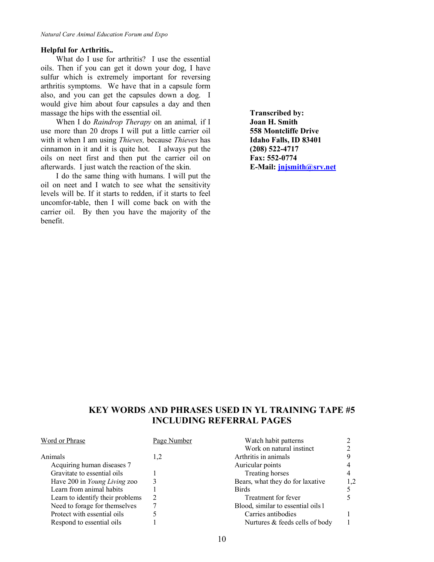### **Helpful for Arthritis..**

What do I use for arthritis? I use the essential oils. Then if you can get it down your dog, I have sulfur which is extremely important for reversing arthritis symptoms. We have that in a capsule form also, and you can get the capsules down a dog. I would give him about four capsules a day and then massage the hips with the essential oil.

When I do *Raindrop Therapy* on an animal*,* if I use more than 20 drops I will put a little carrier oil with it when I am using *Thieves,* because *Thieves* has cinnamon in it and it is quite hot. I always put the oils on neet first and then put the carrier oil on afterwards. I just watch the reaction of the skin.

I do the same thing with humans. I will put the oil on neet and I watch to see what the sensitivity levels will be. If it starts to redden, if it starts to feel uncomfor-table, then I will come back on with the carrier oil. By then you have the majority of the benefit.

**Transcribed by: Joan H. Smith 558 Montcliffe Drive Idaho Falls, ID 83401 (208) 522-4717 Fax: 552-0774 E-Mail: jnjsmith@srv.net**

# **KEY WORDS AND PHRASES USED IN YL TRAINING TAPE #5 INCLUDING REFERRAL PAGES**

| Word or Phrase                   | Page Number | Watch habit patterns               |     |
|----------------------------------|-------------|------------------------------------|-----|
|                                  |             | Work on natural instinct           |     |
| Animals                          | 1,2         | Arthritis in animals               |     |
| Acquiring human diseases 7       |             | Auricular points                   |     |
| Gravitate to essential oils      |             | Treating horses                    |     |
| Have 200 in Young Living zoo     |             | Bears, what they do for laxative   | 1.2 |
| Learn from animal habits         |             | <b>Birds</b>                       |     |
| Learn to identify their problems |             | Treatment for fever                |     |
| Need to forage for themselves    |             | Blood, similar to essential oils 1 |     |
| Protect with essential oils      |             | Carries antibodies                 |     |
| Respond to essential oils        |             | Nurtures & feeds cells of body     |     |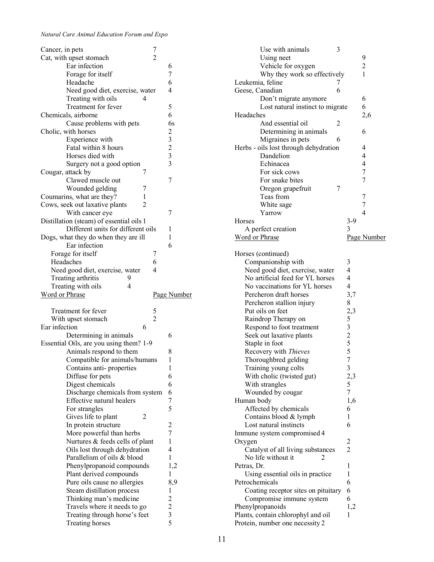| Cancer, in pets                                  | 7              |                                                |
|--------------------------------------------------|----------------|------------------------------------------------|
| Cat, with upset stomach                          | $\overline{2}$ |                                                |
| Ear infection                                    |                | 6                                              |
| Forage for itself                                |                | 7                                              |
| Headache                                         |                | 6                                              |
| Need good diet, exercise, water                  |                | 4                                              |
|                                                  |                |                                                |
| Treating with oils                               | 4              |                                                |
| Treatment for fever                              |                | 5                                              |
| Chemicals, airborne                              |                | 6                                              |
| Cause problems with pets                         |                | 6s                                             |
| Cholic, with horses                              |                |                                                |
| Experience with                                  |                | $\begin{array}{c}\n23 \\ 23 \\ 3\n\end{array}$ |
|                                                  |                |                                                |
| Fatal within 8 hours                             |                |                                                |
| Horses died with                                 |                |                                                |
| Surgery not a good option                        |                |                                                |
| Cougar, attack by                                | 7              |                                                |
| Clawed muscle out                                |                | 7                                              |
| Wounded gelding                                  | 7              |                                                |
|                                                  |                |                                                |
| Coumarins, what are they?                        | 1              |                                                |
| Cows, seek out laxative plants                   | 2              |                                                |
| With cancer eye                                  |                | 7                                              |
| Distillation (steam) of essential oils 1         |                |                                                |
| Different units for different oils               |                | 1                                              |
| Dogs, what they do when they are ill             |                | 1                                              |
|                                                  |                |                                                |
| Ear infection                                    |                | 6                                              |
| Forage for itself                                | 7              |                                                |
| Headaches                                        | 6              |                                                |
| Need good diet, exercise, water                  | 4              |                                                |
| Treating arthritis<br>9                          |                |                                                |
| Treating with oils<br>4                          |                |                                                |
|                                                  |                |                                                |
|                                                  |                |                                                |
| Word or Phrase                                   |                | Page Number                                    |
|                                                  |                |                                                |
| Treatment for fever                              | 5              |                                                |
| With upset stomach                               | $\overline{c}$ |                                                |
| Ear infection                                    | 6              |                                                |
| Determining in animals                           |                | 6                                              |
|                                                  |                |                                                |
| Essential Oils, are you using them? 1-9          |                |                                                |
| Animals respond to them                          |                | 8                                              |
| Compatible for animals/humans                    |                | 1                                              |
| Contains anti-properties                         |                | 1                                              |
| Diffuse for pets                                 |                | 6                                              |
| Digest chemicals                                 |                | 6                                              |
|                                                  |                |                                                |
| Discharge chemicals from system                  |                | 6                                              |
| Effective natural healers                        |                | 7                                              |
| For strangles                                    |                | 5                                              |
| 2<br>Gives life to plant                         |                |                                                |
| In protein structure                             |                | $\overline{c}$                                 |
| More powerful than herbs                         |                | 7                                              |
|                                                  |                | $\mathbf{1}$                                   |
| Nurtures & feeds cells of plant                  |                |                                                |
| Oils lost through dehydration                    |                | $\overline{4}$                                 |
| Parallelism of oils & blood                      |                | $\mathbf{1}$                                   |
| Phenylpropanoid compounds                        |                | 1,2                                            |
| Plant derived compounds                          |                | 1                                              |
| Pure oils cause no allergies                     |                | 8,9                                            |
| Steam distillation process                       |                | 1                                              |
|                                                  |                |                                                |
| Thinking man's medicine                          |                | $\overline{c}$                                 |
| Travels where it needs to go                     |                |                                                |
| Treating through horse's feet<br>Treating horses |                | $\begin{array}{c} 2 \\ 3 \\ 5 \end{array}$     |

| Use with animals                      | 3 |                                   |                |
|---------------------------------------|---|-----------------------------------|----------------|
| Using neet                            |   |                                   | 9              |
| Vehicle for oxygen                    |   |                                   | $\overline{c}$ |
| Why they work so effectively          |   |                                   | 1              |
|                                       |   |                                   |                |
| Leukemia, feline                      | 7 |                                   |                |
| Geese, Canadian                       | 6 |                                   |                |
| Don't migrate anymore                 |   |                                   | 6              |
| Lost natural instinct to migrate      |   |                                   | 6              |
| Headaches                             |   |                                   | 2,6            |
| And essential oil                     | 2 |                                   |                |
| Determining in animals                |   |                                   | 6              |
| Migraines in pets                     | 6 |                                   |                |
| Herbs - oils lost through dehydration |   |                                   | 4              |
| Dandelion                             |   |                                   | 4              |
|                                       |   |                                   | $\overline{4}$ |
| Echinacea                             |   |                                   |                |
| For sick cows                         |   |                                   | 7              |
| For snake bites                       |   |                                   | 7              |
| Oregon grapefruit                     | 7 |                                   |                |
| Teas from                             |   |                                   | 7              |
| White sage                            |   |                                   | 7              |
| Yarrow                                |   |                                   | $\overline{4}$ |
| <b>Horses</b>                         |   | $3-9$                             |                |
|                                       |   | 3                                 |                |
| A perfect creation                    |   |                                   |                |
| Word or Phrase                        |   |                                   | Page Number    |
|                                       |   |                                   |                |
| Horses (continued)                    |   |                                   |                |
| Companionship with                    |   | 3                                 |                |
| Need good diet, exercise, water       |   | $\overline{4}$                    |                |
| No artificial feed for YL horses      |   | 4                                 |                |
| No vaccinations for YL horses         |   | $\overline{4}$                    |                |
| Percheron draft horses                |   | 3,7                               |                |
| Percheron stallion injury             |   | 8                                 |                |
|                                       |   |                                   |                |
| Put oils on feet                      |   |                                   |                |
| Raindrop Therapy on                   |   |                                   |                |
| Respond to foot treatment             |   |                                   |                |
| Seek out laxative plants              |   | 2,3<br>5<br>3<br>2<br>5<br>5<br>5 |                |
| Staple in foot                        |   |                                   |                |
| Recovery with Thieves                 |   |                                   |                |
| Thoroughbred gelding                  |   | $\overline{7}$                    |                |
| Training young colts                  |   | 3                                 |                |
| With cholic (twisted gut)             |   | 2,3                               |                |
| With strangles                        |   | 5                                 |                |
|                                       |   |                                   |                |
| Wounded by cougar                     |   | 7                                 |                |
| Human body                            |   | 1,6                               |                |
| Affected by chemicals                 |   | 6                                 |                |
| Contains blood & lymph                |   | 1                                 |                |
| Lost natural instincts                |   | 6                                 |                |
| Immune system compromised 4           |   |                                   |                |
| Oxygen                                |   | 2                                 |                |
| Catalyst of all living substances     |   | $\overline{2}$                    |                |
| No life without it<br>2               |   |                                   |                |
|                                       |   | 1                                 |                |
| Petras, Dr.                           |   |                                   |                |
| Using essential oils in practice      |   | 1                                 |                |
| Petrochemicals                        |   | 6                                 |                |
| Coating receptor sites on pituitary   |   | 6                                 |                |
| Compromise immune system              |   | 6                                 |                |
| Phenylpropanoids                      |   | 1,2                               |                |
| Plants, contain chlorophyl and oil    |   | 1                                 |                |
| Protein, number one necessity 2       |   |                                   |                |